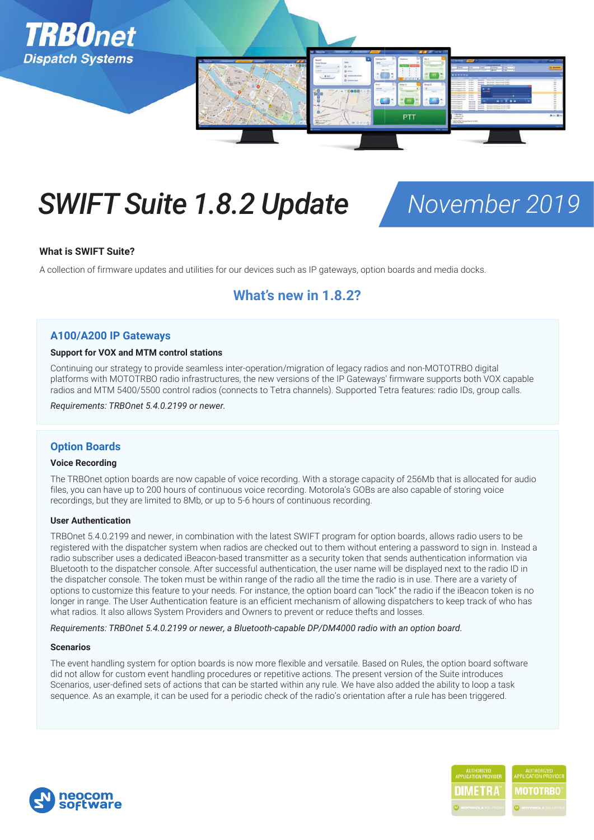

# *SWIFT Suite 1.8.2 Update November 2019*

#### **What is SWIFT Suite?**

A collection of firmware updates and utilities for our devices such as IP gateways, option boards and media docks.

## **What's new in 1.8.2?**

#### **A100/A200 IP Gateways**

#### **Support for VOX and MTM control stations**

Continuing our strategy to provide seamless inter-operation/migration of legacy radios and non-MOTOTRBO digital platforms with MOTOTRBO radio infrastructures, the new versions of the IP Gateways' firmware supports both VOX capable radios and MTM 5400/5500 control radios (connects to Tetra channels). Supported Tetra features: radio IDs, group calls.

*Requirements: TRBOnet 5.4.0.2199 or newer.*

### **Option Boards**

#### **Voice Recording**

The TRBOnet option boards are now capable of voice recording. With a storage capacity of 256Mb that is allocated for audio files, you can have up to 200 hours of continuous voice recording. Motorola's GOBs are also capable of storing voice recordings, but they are limited to 8Mb, or up to 5-6 hours of continuous recording.

#### **User Authentication**

TRBOnet 5.4.0.2199 and newer, in combination with the latest SWIFT program for option boards, allows radio users to be registered with the dispatcher system when radios are checked out to them without entering a password to sign in. Instead a radio subscriber uses a dedicated iBeacon-based transmitter as a security token that sends authentication information via Bluetooth to the dispatcher console. After successful authentication, the user name will be displayed next to the radio ID in the dispatcher console. The token must be within range of the radio all the time the radio is in use. There are a variety of options to customize this feature to your needs. For instance, the option board can "lock" the radio if the iBeacon token is no longer in range. The User Authentication feature is an efficient mechanism of allowing dispatchers to keep track of who has what radios. It also allows System Providers and Owners to prevent or reduce thefts and losses.

#### *Requirements: TRBOnet 5.4.0.2199 or newer, a Bluetooth-capable DP/DM4000 radio with an option board.*

#### **Scenarios**

The event handling system for option boards is now more flexible and versatile. Based on Rules, the option board software did not allow for custom event handling procedures or repetitive actions. The present version of the Suite introduces Scenarios, user-defined sets of actions that can be started within any rule. We have also added the ability to loop a task sequence. As an example, it can be used for a periodic check of the radio's orientation after a rule has been triggered.